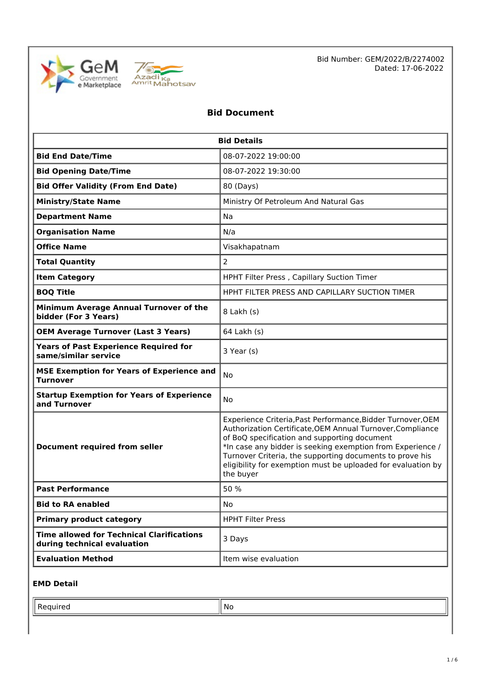



Bid Number: GEM/2022/B/2274002 Dated: 17-06-2022

# **Bid Document**

| <b>Bid Details</b>                                                              |                                                                                                                                                                                                                                                                                                                                                                                  |  |  |
|---------------------------------------------------------------------------------|----------------------------------------------------------------------------------------------------------------------------------------------------------------------------------------------------------------------------------------------------------------------------------------------------------------------------------------------------------------------------------|--|--|
| <b>Bid End Date/Time</b>                                                        | 08-07-2022 19:00:00                                                                                                                                                                                                                                                                                                                                                              |  |  |
| <b>Bid Opening Date/Time</b>                                                    | 08-07-2022 19:30:00                                                                                                                                                                                                                                                                                                                                                              |  |  |
| <b>Bid Offer Validity (From End Date)</b>                                       | 80 (Days)                                                                                                                                                                                                                                                                                                                                                                        |  |  |
| <b>Ministry/State Name</b>                                                      | Ministry Of Petroleum And Natural Gas                                                                                                                                                                                                                                                                                                                                            |  |  |
| <b>Department Name</b>                                                          | Na                                                                                                                                                                                                                                                                                                                                                                               |  |  |
| <b>Organisation Name</b>                                                        | N/a                                                                                                                                                                                                                                                                                                                                                                              |  |  |
| <b>Office Name</b>                                                              | Visakhapatnam                                                                                                                                                                                                                                                                                                                                                                    |  |  |
| <b>Total Quantity</b>                                                           | $\overline{2}$                                                                                                                                                                                                                                                                                                                                                                   |  |  |
| <b>Item Category</b>                                                            | HPHT Filter Press, Capillary Suction Timer                                                                                                                                                                                                                                                                                                                                       |  |  |
| <b>BOQ Title</b>                                                                | HPHT FILTER PRESS AND CAPILLARY SUCTION TIMER                                                                                                                                                                                                                                                                                                                                    |  |  |
| Minimum Average Annual Turnover of the<br>bidder (For 3 Years)                  | 8 Lakh (s)                                                                                                                                                                                                                                                                                                                                                                       |  |  |
| <b>OEM Average Turnover (Last 3 Years)</b>                                      | 64 Lakh (s)                                                                                                                                                                                                                                                                                                                                                                      |  |  |
| <b>Years of Past Experience Required for</b><br>same/similar service            | 3 Year (s)                                                                                                                                                                                                                                                                                                                                                                       |  |  |
| <b>MSE Exemption for Years of Experience and</b><br>Turnover                    | No                                                                                                                                                                                                                                                                                                                                                                               |  |  |
| <b>Startup Exemption for Years of Experience</b><br><b>No</b><br>and Turnover   |                                                                                                                                                                                                                                                                                                                                                                                  |  |  |
| <b>Document required from seller</b>                                            | Experience Criteria, Past Performance, Bidder Turnover, OEM<br>Authorization Certificate, OEM Annual Turnover, Compliance<br>of BoQ specification and supporting document<br>*In case any bidder is seeking exemption from Experience /<br>Turnover Criteria, the supporting documents to prove his<br>eligibility for exemption must be uploaded for evaluation by<br>the buyer |  |  |
| 50 %<br><b>Past Performance</b>                                                 |                                                                                                                                                                                                                                                                                                                                                                                  |  |  |
| <b>Bid to RA enabled</b>                                                        | No                                                                                                                                                                                                                                                                                                                                                                               |  |  |
| <b>Primary product category</b>                                                 | <b>HPHT Filter Press</b>                                                                                                                                                                                                                                                                                                                                                         |  |  |
| <b>Time allowed for Technical Clarifications</b><br>during technical evaluation | 3 Days                                                                                                                                                                                                                                                                                                                                                                           |  |  |
| <b>Evaluation Method</b>                                                        | Item wise evaluation                                                                                                                                                                                                                                                                                                                                                             |  |  |

#### **EMD Detail**

 $\blacksquare$  Required  $\blacksquare$  No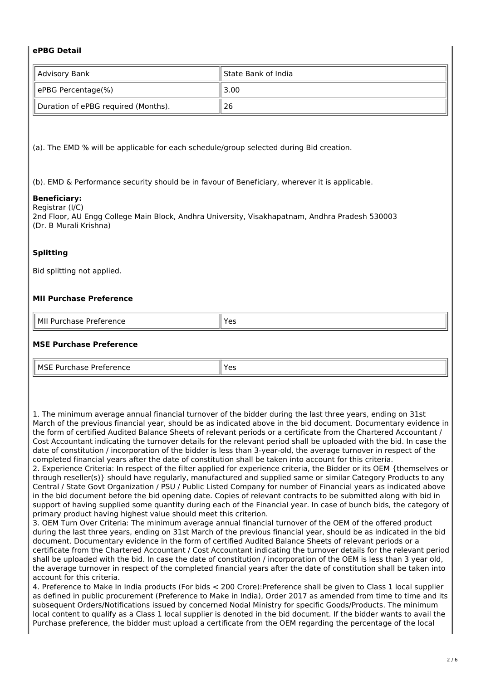## **ePBG Detail**

| Advisory Bank                       | ll State Bank of India |  |
|-------------------------------------|------------------------|--|
| ePBG Percentage(%)                  | 3.00                   |  |
| Duration of ePBG required (Months). | 26                     |  |

(a). The EMD % will be applicable for each schedule/group selected during Bid creation.

(b). EMD & Performance security should be in favour of Beneficiary, wherever it is applicable.

# **Beneficiary:**

Registrar (I/C) 2nd Floor, AU Engg College Main Block, Andhra University, Visakhapatnam, Andhra Pradesh 530003 (Dr. B Murali Krishna)

# **Splitting**

Bid splitting not applied.

# **MII Purchase Preference**

| ' MII<br>-------<br><br>י<br>$\sim$<br>.<br>. | $\mathsf{v}_{\mathsf{a}}$<br>−<br>. د |
|-----------------------------------------------|---------------------------------------|

### **MSE Purchase Preference**

| IL MSE<br>.<br>.<br>----<br>ாட்ட<br>$\overline{ }$ | $\sim$ |
|----------------------------------------------------|--------|

1. The minimum average annual financial turnover of the bidder during the last three years, ending on 31st March of the previous financial year, should be as indicated above in the bid document. Documentary evidence in the form of certified Audited Balance Sheets of relevant periods or a certificate from the Chartered Accountant / Cost Accountant indicating the turnover details for the relevant period shall be uploaded with the bid. In case the date of constitution / incorporation of the bidder is less than 3-year-old, the average turnover in respect of the completed financial years after the date of constitution shall be taken into account for this criteria.

2. Experience Criteria: In respect of the filter applied for experience criteria, the Bidder or its OEM {themselves or through reseller(s)} should have regularly, manufactured and supplied same or similar Category Products to any Central / State Govt Organization / PSU / Public Listed Company for number of Financial years as indicated above in the bid document before the bid opening date. Copies of relevant contracts to be submitted along with bid in support of having supplied some quantity during each of the Financial year. In case of bunch bids, the category of primary product having highest value should meet this criterion.

3. OEM Turn Over Criteria: The minimum average annual financial turnover of the OEM of the offered product during the last three years, ending on 31st March of the previous financial year, should be as indicated in the bid document. Documentary evidence in the form of certified Audited Balance Sheets of relevant periods or a certificate from the Chartered Accountant / Cost Accountant indicating the turnover details for the relevant period shall be uploaded with the bid. In case the date of constitution / incorporation of the OEM is less than 3 year old, the average turnover in respect of the completed financial years after the date of constitution shall be taken into account for this criteria.

4. Preference to Make In India products (For bids < 200 Crore):Preference shall be given to Class 1 local supplier as defined in public procurement (Preference to Make in India), Order 2017 as amended from time to time and its subsequent Orders/Notifications issued by concerned Nodal Ministry for specific Goods/Products. The minimum local content to qualify as a Class 1 local supplier is denoted in the bid document. If the bidder wants to avail the Purchase preference, the bidder must upload a certificate from the OEM regarding the percentage of the local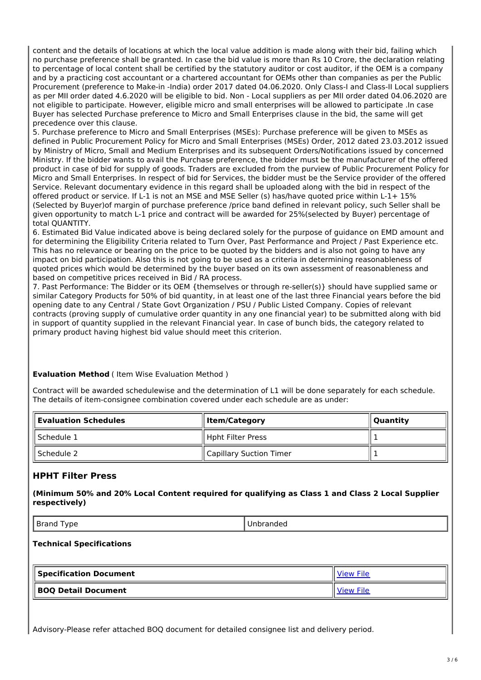content and the details of locations at which the local value addition is made along with their bid, failing which no purchase preference shall be granted. In case the bid value is more than Rs 10 Crore, the declaration relating to percentage of local content shall be certified by the statutory auditor or cost auditor, if the OEM is a company and by a practicing cost accountant or a chartered accountant for OEMs other than companies as per the Public Procurement (preference to Make-in -India) order 2017 dated 04.06.2020. Only Class-I and Class-II Local suppliers as per MII order dated 4.6.2020 will be eligible to bid. Non - Local suppliers as per MII order dated 04.06.2020 are not eligible to participate. However, eligible micro and small enterprises will be allowed to participate .In case Buyer has selected Purchase preference to Micro and Small Enterprises clause in the bid, the same will get precedence over this clause.

5. Purchase preference to Micro and Small Enterprises (MSEs): Purchase preference will be given to MSEs as defined in Public Procurement Policy for Micro and Small Enterprises (MSEs) Order, 2012 dated 23.03.2012 issued by Ministry of Micro, Small and Medium Enterprises and its subsequent Orders/Notifications issued by concerned Ministry. If the bidder wants to avail the Purchase preference, the bidder must be the manufacturer of the offered product in case of bid for supply of goods. Traders are excluded from the purview of Public Procurement Policy for Micro and Small Enterprises. In respect of bid for Services, the bidder must be the Service provider of the offered Service. Relevant documentary evidence in this regard shall be uploaded along with the bid in respect of the offered product or service. If L-1 is not an MSE and MSE Seller (s) has/have quoted price within L-1+ 15% (Selected by Buyer)of margin of purchase preference /price band defined in relevant policy, such Seller shall be given opportunity to match L-1 price and contract will be awarded for 25%(selected by Buyer) percentage of total QUANTITY.

6. Estimated Bid Value indicated above is being declared solely for the purpose of guidance on EMD amount and for determining the Eligibility Criteria related to Turn Over, Past Performance and Project / Past Experience etc. This has no relevance or bearing on the price to be quoted by the bidders and is also not going to have any impact on bid participation. Also this is not going to be used as a criteria in determining reasonableness of quoted prices which would be determined by the buyer based on its own assessment of reasonableness and based on competitive prices received in Bid / RA process.

7. Past Performance: The Bidder or its OEM {themselves or through re-seller(s)} should have supplied same or similar Category Products for 50% of bid quantity, in at least one of the last three Financial years before the bid opening date to any Central / State Govt Organization / PSU / Public Listed Company. Copies of relevant contracts (proving supply of cumulative order quantity in any one financial year) to be submitted along with bid in support of quantity supplied in the relevant Financial year. In case of bunch bids, the category related to primary product having highest bid value should meet this criterion.

#### **Evaluation Method** ( Item Wise Evaluation Method )

Contract will be awarded schedulewise and the determination of L1 will be done separately for each schedule. The details of item-consignee combination covered under each schedule are as under:

| $\parallel$ Evaluation Schedules $\parallel$ | lltem/Category          | Quantity |
|----------------------------------------------|-------------------------|----------|
| ll Schedule 1                                | Hpht Filter Press       |          |
| ll Schedule 2                                | Capillary Suction Timer |          |

# **HPHT Filter Press**

**(Minimum 50% and 20% Local Content required for qualifying as Class 1 and Class 2 Local Supplier respectively)**

Brand Type **Unbranded** 

#### **Technical Specifications**

| <b>Specification Document</b> |  |
|-------------------------------|--|
| BOQ Detail Document           |  |

Advisory-Please refer attached BOQ document for detailed consignee list and delivery period.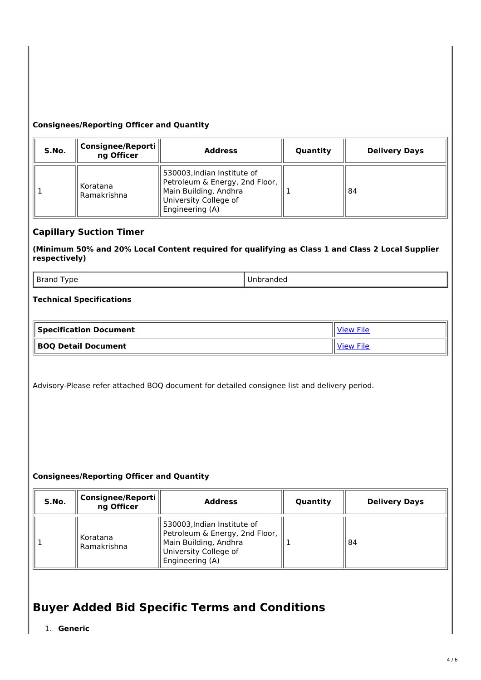### **Consignees/Reporting Officer and Quantity**

| S.No. | Consignee/Reporti<br>ng Officer | <b>Address</b>                                                                                                                     | Quantity | <b>Delivery Days</b> |
|-------|---------------------------------|------------------------------------------------------------------------------------------------------------------------------------|----------|----------------------|
|       | Koratana<br>Ramakrishna         | 530003, Indian Institute of<br>Petroleum & Energy, 2nd Floor,<br>Main Building, Andhra<br>University College of<br>Engineering (A) |          | 84                   |

# **Capillary Suction Timer**

**(Minimum 50% and 20% Local Content required for qualifying as Class 1 and Class 2 Local Supplier respectively)**

Brand Type **National Struck Community** Brand Type **Unbranded** 

## **Technical Specifications**

| $\parallel$ Specification Document $\parallel$ | <b>View File</b> |
|------------------------------------------------|------------------|
| <b>BOQ Detail Document</b>                     | <b>View File</b> |

Advisory-Please refer attached BOQ document for detailed consignee list and delivery period.

#### **Consignees/Reporting Officer and Quantity**

| S.No. | Consignee/Reporti<br>ng Officer | <b>Address</b>                                                                                                                     | Quantity | <b>Delivery Days</b> |
|-------|---------------------------------|------------------------------------------------------------------------------------------------------------------------------------|----------|----------------------|
|       | Koratana<br>Ramakrishna         | 530003, Indian Institute of<br>Petroleum & Energy, 2nd Floor,<br>Main Building, Andhra<br>University College of<br>Engineering (A) |          | 84                   |

# **Buyer Added Bid Specific Terms and Conditions**

1. **Generic**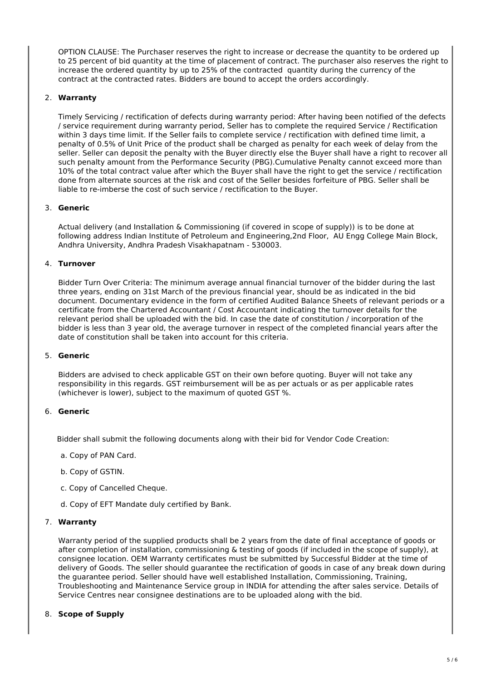OPTION CLAUSE: The Purchaser reserves the right to increase or decrease the quantity to be ordered up to 25 percent of bid quantity at the time of placement of contract. The purchaser also reserves the right to increase the ordered quantity by up to 25% of the contracted quantity during the currency of the contract at the contracted rates. Bidders are bound to accept the orders accordingly.

#### 2. **Warranty**

Timely Servicing / rectification of defects during warranty period: After having been notified of the defects / service requirement during warranty period, Seller has to complete the required Service / Rectification within 3 days time limit. If the Seller fails to complete service / rectification with defined time limit, a penalty of 0.5% of Unit Price of the product shall be charged as penalty for each week of delay from the seller. Seller can deposit the penalty with the Buyer directly else the Buyer shall have a right to recover all such penalty amount from the Performance Security (PBG).Cumulative Penalty cannot exceed more than 10% of the total contract value after which the Buyer shall have the right to get the service / rectification done from alternate sources at the risk and cost of the Seller besides forfeiture of PBG. Seller shall be liable to re-imberse the cost of such service / rectification to the Buyer.

#### 3. **Generic**

Actual delivery (and Installation & Commissioning (if covered in scope of supply)) is to be done at following address Indian Institute of Petroleum and Engineering,2nd Floor, AU Engg College Main Block, Andhra University, Andhra Pradesh Visakhapatnam - 530003.

#### 4. **Turnover**

Bidder Turn Over Criteria: The minimum average annual financial turnover of the bidder during the last three years, ending on 31st March of the previous financial year, should be as indicated in the bid document. Documentary evidence in the form of certified Audited Balance Sheets of relevant periods or a certificate from the Chartered Accountant / Cost Accountant indicating the turnover details for the relevant period shall be uploaded with the bid. In case the date of constitution / incorporation of the bidder is less than 3 year old, the average turnover in respect of the completed financial years after the date of constitution shall be taken into account for this criteria.

#### 5. **Generic**

Bidders are advised to check applicable GST on their own before quoting. Buyer will not take any responsibility in this regards. GST reimbursement will be as per actuals or as per applicable rates (whichever is lower), subject to the maximum of quoted GST %.

#### 6. **Generic**

Bidder shall submit the following documents along with their bid for Vendor Code Creation:

- a. Copy of PAN Card.
- b. Copy of GSTIN.
- c. Copy of Cancelled Cheque.
- d. Copy of EFT Mandate duly certified by Bank.

#### 7. **Warranty**

Warranty period of the supplied products shall be 2 years from the date of final acceptance of goods or after completion of installation, commissioning & testing of goods (if included in the scope of supply), at consignee location. OEM Warranty certificates must be submitted by Successful Bidder at the time of delivery of Goods. The seller should guarantee the rectification of goods in case of any break down during the guarantee period. Seller should have well established Installation, Commissioning, Training, Troubleshooting and Maintenance Service group in INDIA for attending the after sales service. Details of Service Centres near consignee destinations are to be uploaded along with the bid.

#### 8. **Scope of Supply**